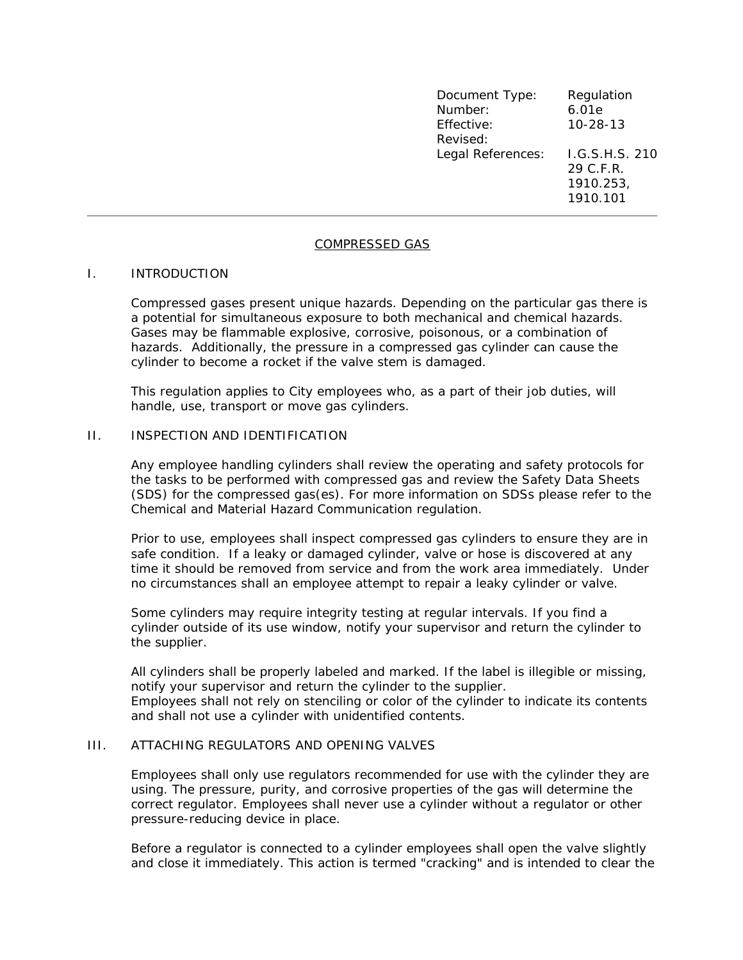| Document Type:    | Regulation     |
|-------------------|----------------|
| Number:           | 6.01e          |
| Effective:        | $10 - 28 - 13$ |
| Revised:          |                |
| Legal References: | I.G.S.H.S. 210 |
|                   | 29 C.F.R.      |
|                   | 1910.253,      |
|                   | 1910.101       |
|                   |                |

### COMPRESSED GAS

#### I. INTRODUCTION

Compressed gases present unique hazards. Depending on the particular gas there is a potential for simultaneous exposure to both mechanical and chemical hazards. Gases may be flammable explosive, corrosive, poisonous, or a combination of hazards. Additionally, the pressure in a compressed gas cylinder can cause the cylinder to become a rocket if the valve stem is damaged.

This regulation applies to City employees who, as a part of their job duties, will handle, use, transport or move gas cylinders.

### II. INSPECTION AND IDENTIFICATION

Any employee handling cylinders shall review the operating and safety protocols for the tasks to be performed with compressed gas and review the Safety Data Sheets (SDS) for the compressed gas(es). For more information on SDSs please refer to the Chemical and Material Hazard Communication regulation.

Prior to use, employees shall inspect compressed gas cylinders to ensure they are in safe condition. If a leaky or damaged cylinder, valve or hose is discovered at any time it should be removed from service and from the work area immediately. Under no circumstances shall an employee attempt to repair a leaky cylinder or valve.

Some cylinders may require integrity testing at regular intervals. If you find a cylinder outside of its use window, notify your supervisor and return the cylinder to the supplier.

All cylinders shall be properly labeled and marked. If the label is illegible or missing, notify your supervisor and return the cylinder to the supplier. Employees shall not rely on stenciling or color of the cylinder to indicate its contents and shall not use a cylinder with unidentified contents.

#### III. ATTACHING REGULATORS AND OPENING VALVES

Employees shall only use regulators recommended for use with the cylinder they are using. The pressure, purity, and corrosive properties of the gas will determine the correct regulator. Employees shall never use a cylinder without a regulator or other pressure-reducing device in place.

Before a regulator is connected to a cylinder employees shall open the valve slightly and close it immediately. This action is termed "cracking" and is intended to clear the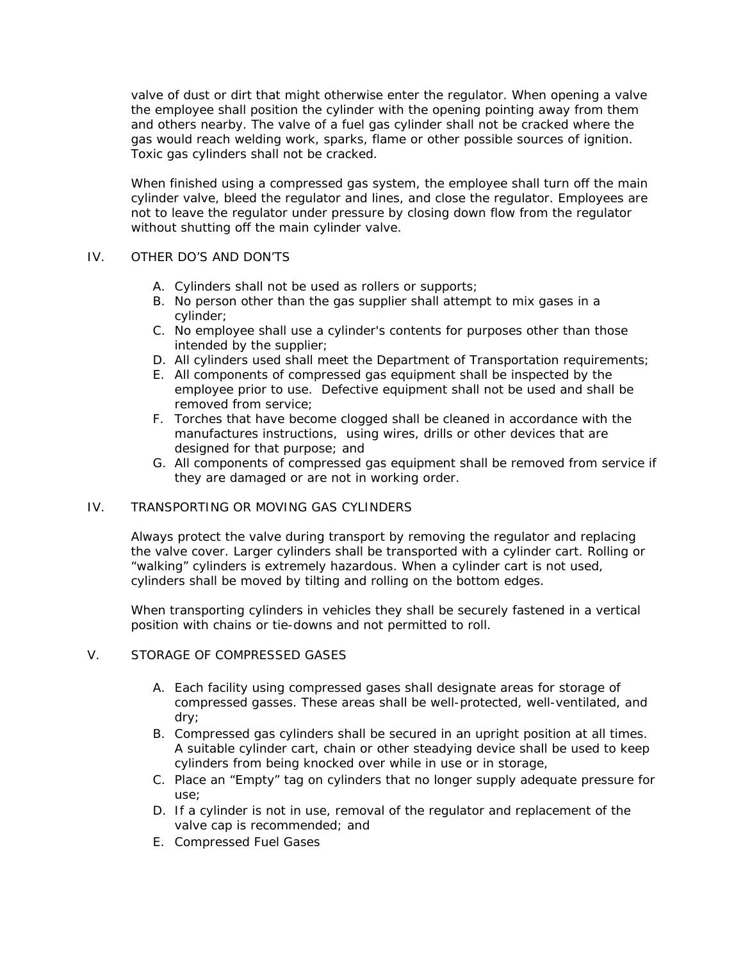valve of dust or dirt that might otherwise enter the regulator. When opening a valve the employee shall position the cylinder with the opening pointing away from them and others nearby. The valve of a fuel gas cylinder shall not be cracked where the gas would reach welding work, sparks, flame or other possible sources of ignition. Toxic gas cylinders shall not be cracked.

When finished using a compressed gas system, the employee shall turn off the main cylinder valve, bleed the regulator and lines, and close the regulator. Employees are not to leave the regulator under pressure by closing down flow from the regulator without shutting off the main cylinder valve.

## IV. OTHER DO'S AND DON'TS

- A. Cylinders shall not be used as rollers or supports;
- B. No person other than the gas supplier shall attempt to mix gases in a cylinder;
- C. No employee shall use a cylinder's contents for purposes other than those intended by the supplier;
- D. All cylinders used shall meet the Department of Transportation requirements;
- E. All components of compressed gas equipment shall be inspected by the employee prior to use. Defective equipment shall not be used and shall be removed from service;
- F. Torches that have become clogged shall be cleaned in accordance with the manufactures instructions, using wires, drills or other devices that are designed for that purpose; and
- G. All components of compressed gas equipment shall be removed from service if they are damaged or are not in working order.

# IV. TRANSPORTING OR MOVING GAS CYLINDERS

Always protect the valve during transport by removing the regulator and replacing the valve cover. Larger cylinders shall be transported with a cylinder cart. Rolling or "walking" cylinders is extremely hazardous. When a cylinder cart is not used, cylinders shall be moved by tilting and rolling on the bottom edges.

When transporting cylinders in vehicles they shall be securely fastened in a vertical position with chains or tie-downs and not permitted to roll.

## V. STORAGE OF COMPRESSED GASES

- A. Each facility using compressed gases shall designate areas for storage of compressed gasses. These areas shall be well-protected, well-ventilated, and dry;
- B. Compressed gas cylinders shall be secured in an upright position at all times. A suitable cylinder cart, chain or other steadying device shall be used to keep cylinders from being knocked over while in use or in storage,
- C. Place an "Empty" tag on cylinders that no longer supply adequate pressure for use;
- D. If a cylinder is not in use, removal of the regulator and replacement of the valve cap is recommended; and
- E. Compressed Fuel Gases